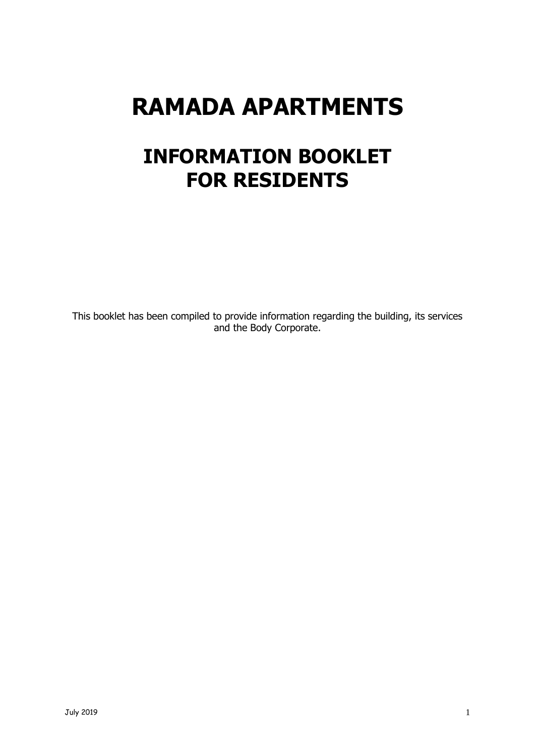# **RAMADA APARTMENTS**

## **INFORMATION BOOKLET FOR RESIDENTS**

This booklet has been compiled to provide information regarding the building, its services and the Body Corporate.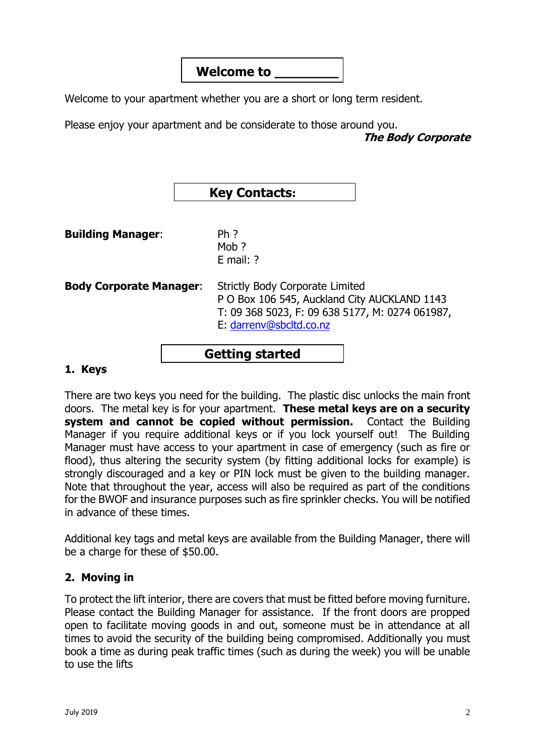## **Welcome to \_\_\_\_\_\_\_\_**

Welcome to your apartment whether you are a short or long term resident.

Please enjoy your apartment and be considerate to those around you. **The Body Corporate**

| <b>Key Contacts:</b> |  |
|----------------------|--|
|----------------------|--|

**Building Manager:** Ph?

Moh ? E mail: ?

**Body Corporate Manager**: Strictly Body Corporate Limited P O Box 106 545, Auckland City AUCKLAND 1143 T: 09 368 5023, F: 09 638 5177, M: 0274 061987, E: [darrenv@sbcltd.co.nz](mailto:darrenv@sbcltd.co.nz)

## **Getting started**

#### **1. Keys**

There are two keys you need for the building. The plastic disc unlocks the main front doors. The metal key is for your apartment. **These metal keys are on a security system and cannot be copied without permission.** Contact the Building Manager if you require additional keys or if you lock yourself out! The Building Manager must have access to your apartment in case of emergency (such as fire or flood), thus altering the security system (by fitting additional locks for example) is strongly discouraged and a key or PIN lock must be given to the building manager. Note that throughout the year, access will also be required as part of the conditions for the BWOF and insurance purposes such as fire sprinkler checks. You will be notified in advance of these times.

Additional key tags and metal keys are available from the Building Manager, there will be a charge for these of \$50.00.

#### **2. Moving in**

To protect the lift interior, there are covers that must be fitted before moving furniture. Please contact the Building Manager for assistance. If the front doors are propped open to facilitate moving goods in and out, someone must be in attendance at all times to avoid the security of the building being compromised. Additionally you must book a time as during peak traffic times (such as during the week) you will be unable to use the lifts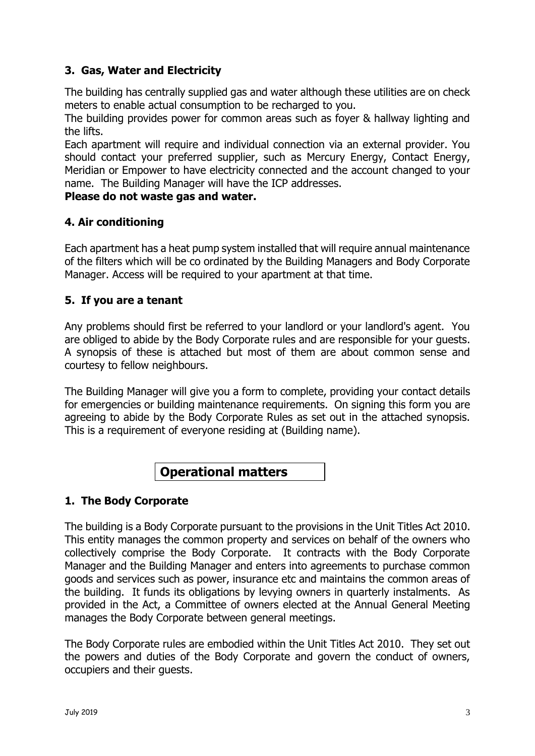#### **3. Gas, Water and Electricity**

The building has centrally supplied gas and water although these utilities are on check meters to enable actual consumption to be recharged to you.

The building provides power for common areas such as foyer & hallway lighting and the lifts.

Each apartment will require and individual connection via an external provider. You should contact your preferred supplier, such as Mercury Energy, Contact Energy, Meridian or Empower to have electricity connected and the account changed to your name. The Building Manager will have the ICP addresses.

#### **Please do not waste gas and water.**

#### **4. Air conditioning**

Each apartment has a heat pump system installed that will require annual maintenance of the filters which will be co ordinated by the Building Managers and Body Corporate Manager. Access will be required to your apartment at that time.

#### **5. If you are a tenant**

Any problems should first be referred to your landlord or your landlord's agent. You are obliged to abide by the Body Corporate rules and are responsible for your guests. A synopsis of these is attached but most of them are about common sense and courtesy to fellow neighbours.

The Building Manager will give you a form to complete, providing your contact details for emergencies or building maintenance requirements. On signing this form you are agreeing to abide by the Body Corporate Rules as set out in the attached synopsis. This is a requirement of everyone residing at (Building name).

## **Operational matters**

#### **1. The Body Corporate**

The building is a Body Corporate pursuant to the provisions in the Unit Titles Act 2010. This entity manages the common property and services on behalf of the owners who collectively comprise the Body Corporate. It contracts with the Body Corporate Manager and the Building Manager and enters into agreements to purchase common goods and services such as power, insurance etc and maintains the common areas of the building. It funds its obligations by levying owners in quarterly instalments. As provided in the Act, a Committee of owners elected at the Annual General Meeting manages the Body Corporate between general meetings.

The Body Corporate rules are embodied within the Unit Titles Act 2010. They set out the powers and duties of the Body Corporate and govern the conduct of owners, occupiers and their guests.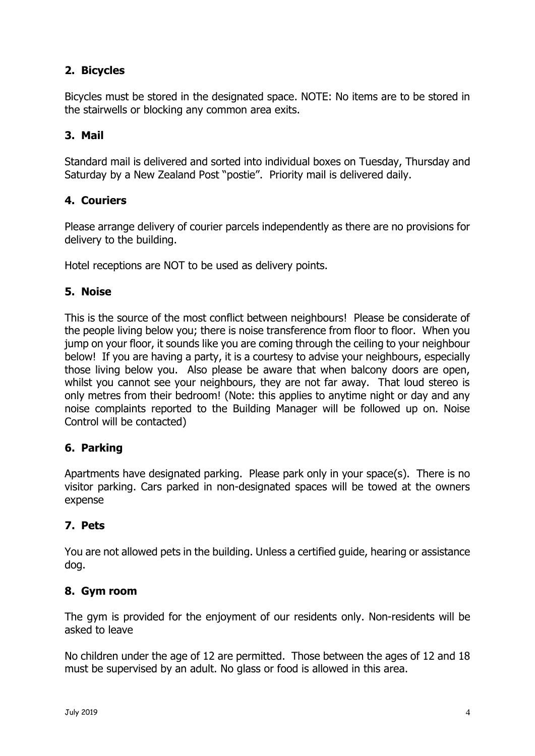### **2. Bicycles**

Bicycles must be stored in the designated space. NOTE: No items are to be stored in the stairwells or blocking any common area exits.

#### **3. Mail**

Standard mail is delivered and sorted into individual boxes on Tuesday, Thursday and Saturday by a New Zealand Post "postie". Priority mail is delivered daily.

#### **4. Couriers**

Please arrange delivery of courier parcels independently as there are no provisions for delivery to the building.

Hotel receptions are NOT to be used as delivery points.

#### **5. Noise**

This is the source of the most conflict between neighbours! Please be considerate of the people living below you; there is noise transference from floor to floor. When you jump on your floor, it sounds like you are coming through the ceiling to your neighbour below! If you are having a party, it is a courtesy to advise your neighbours, especially those living below you. Also please be aware that when balcony doors are open, whilst you cannot see your neighbours, they are not far away. That loud stereo is only metres from their bedroom! (Note: this applies to anytime night or day and any noise complaints reported to the Building Manager will be followed up on. Noise Control will be contacted)

#### **6. Parking**

Apartments have designated parking. Please park only in your space(s). There is no visitor parking. Cars parked in non-designated spaces will be towed at the owners expense

#### **7. Pets**

You are not allowed pets in the building. Unless a certified guide, hearing or assistance dog.

#### **8. Gym room**

The gym is provided for the enjoyment of our residents only. Non-residents will be asked to leave

No children under the age of 12 are permitted. Those between the ages of 12 and 18 must be supervised by an adult. No glass or food is allowed in this area.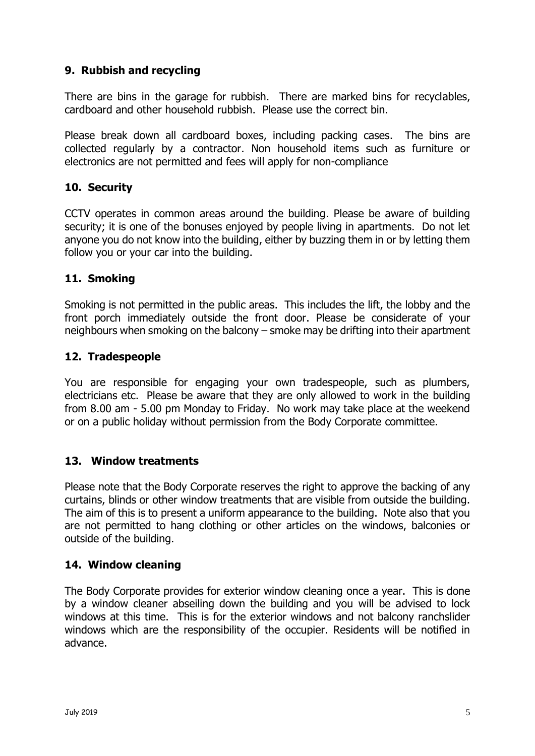#### **9. Rubbish and recycling**

There are bins in the garage for rubbish. There are marked bins for recyclables, cardboard and other household rubbish. Please use the correct bin.

Please break down all cardboard boxes, including packing cases. The bins are collected regularly by a contractor. Non household items such as furniture or electronics are not permitted and fees will apply for non-compliance

#### **10. Security**

CCTV operates in common areas around the building. Please be aware of building security; it is one of the bonuses enjoyed by people living in apartments. Do not let anyone you do not know into the building, either by buzzing them in or by letting them follow you or your car into the building.

#### **11. Smoking**

Smoking is not permitted in the public areas. This includes the lift, the lobby and the front porch immediately outside the front door. Please be considerate of your neighbours when smoking on the balcony – smoke may be drifting into their apartment

#### **12. Tradespeople**

You are responsible for engaging your own tradespeople, such as plumbers, electricians etc. Please be aware that they are only allowed to work in the building from 8.00 am - 5.00 pm Monday to Friday. No work may take place at the weekend or on a public holiday without permission from the Body Corporate committee.

#### **13. Window treatments**

Please note that the Body Corporate reserves the right to approve the backing of any curtains, blinds or other window treatments that are visible from outside the building. The aim of this is to present a uniform appearance to the building. Note also that you are not permitted to hang clothing or other articles on the windows, balconies or outside of the building.

#### **14. Window cleaning**

The Body Corporate provides for exterior window cleaning once a year. This is done by a window cleaner abseiling down the building and you will be advised to lock windows at this time. This is for the exterior windows and not balcony ranchslider windows which are the responsibility of the occupier. Residents will be notified in advance.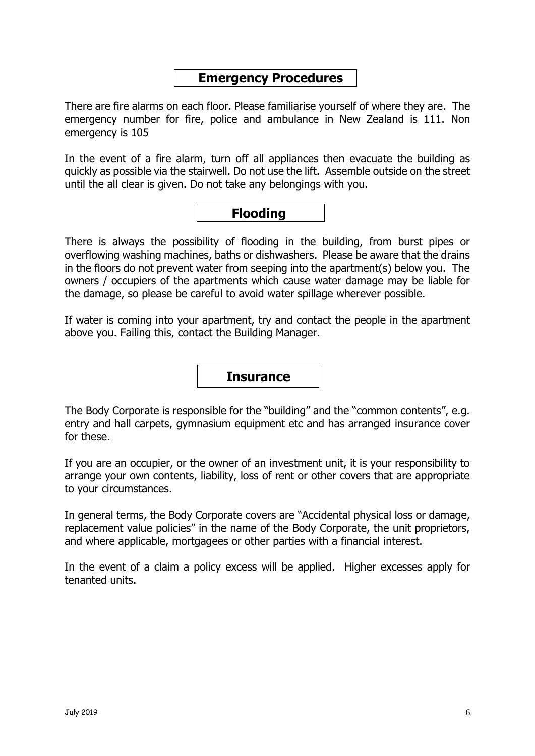## **Emergency Procedures**

There are fire alarms on each floor. Please familiarise yourself of where they are. The emergency number for fire, police and ambulance in New Zealand is 111. Non emergency is 105

In the event of a fire alarm, turn off all appliances then evacuate the building as quickly as possible via the stairwell. Do not use the lift. Assemble outside on the street until the all clear is given. Do not take any belongings with you.

## **Flooding**

There is always the possibility of flooding in the building, from burst pipes or overflowing washing machines, baths or dishwashers. Please be aware that the drains in the floors do not prevent water from seeping into the apartment(s) below you. The owners / occupiers of the apartments which cause water damage may be liable for the damage, so please be careful to avoid water spillage wherever possible.

If water is coming into your apartment, try and contact the people in the apartment above you. Failing this, contact the Building Manager.

#### **Insurance**

The Body Corporate is responsible for the "building" and the "common contents", e.g. entry and hall carpets, gymnasium equipment etc and has arranged insurance cover for these.

If you are an occupier, or the owner of an investment unit, it is your responsibility to arrange your own contents, liability, loss of rent or other covers that are appropriate to your circumstances.

In general terms, the Body Corporate covers are "Accidental physical loss or damage, replacement value policies" in the name of the Body Corporate, the unit proprietors, and where applicable, mortgagees or other parties with a financial interest.

In the event of a claim a policy excess will be applied. Higher excesses apply for tenanted units.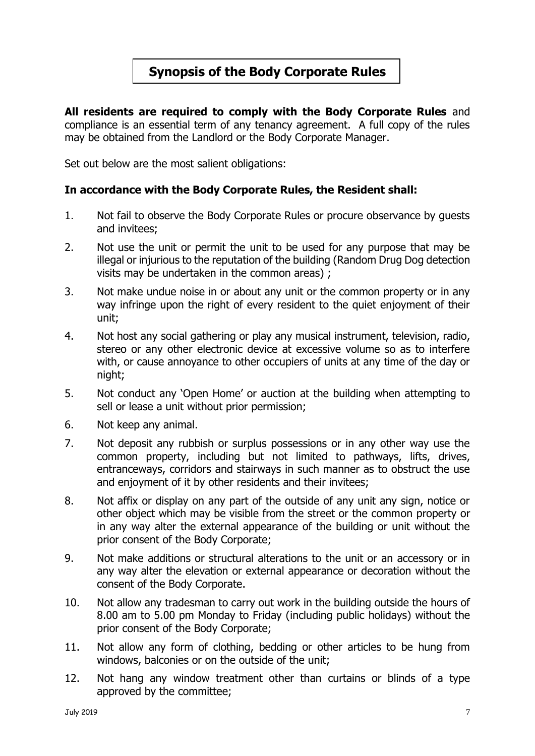## **Synopsis of the Body Corporate Rules**

**All residents are required to comply with the Body Corporate Rules** and compliance is an essential term of any tenancy agreement. A full copy of the rules may be obtained from the Landlord or the Body Corporate Manager.

Set out below are the most salient obligations:

#### **In accordance with the Body Corporate Rules, the Resident shall:**

- 1. Not fail to observe the Body Corporate Rules or procure observance by guests and invitees;
- 2. Not use the unit or permit the unit to be used for any purpose that may be illegal or injurious to the reputation of the building (Random Drug Dog detection visits may be undertaken in the common areas) ;
- 3. Not make undue noise in or about any unit or the common property or in any way infringe upon the right of every resident to the quiet enjoyment of their unit;
- 4. Not host any social gathering or play any musical instrument, television, radio, stereo or any other electronic device at excessive volume so as to interfere with, or cause annoyance to other occupiers of units at any time of the day or night;
- 5. Not conduct any 'Open Home' or auction at the building when attempting to sell or lease a unit without prior permission;
- 6. Not keep any animal.
- 7. Not deposit any rubbish or surplus possessions or in any other way use the common property, including but not limited to pathways, lifts, drives, entranceways, corridors and stairways in such manner as to obstruct the use and enjoyment of it by other residents and their invitees;
- 8. Not affix or display on any part of the outside of any unit any sign, notice or other object which may be visible from the street or the common property or in any way alter the external appearance of the building or unit without the prior consent of the Body Corporate;
- 9. Not make additions or structural alterations to the unit or an accessory or in any way alter the elevation or external appearance or decoration without the consent of the Body Corporate.
- 10. Not allow any tradesman to carry out work in the building outside the hours of 8.00 am to 5.00 pm Monday to Friday (including public holidays) without the prior consent of the Body Corporate;
- 11. Not allow any form of clothing, bedding or other articles to be hung from windows, balconies or on the outside of the unit;
- 12. Not hang any window treatment other than curtains or blinds of a type approved by the committee;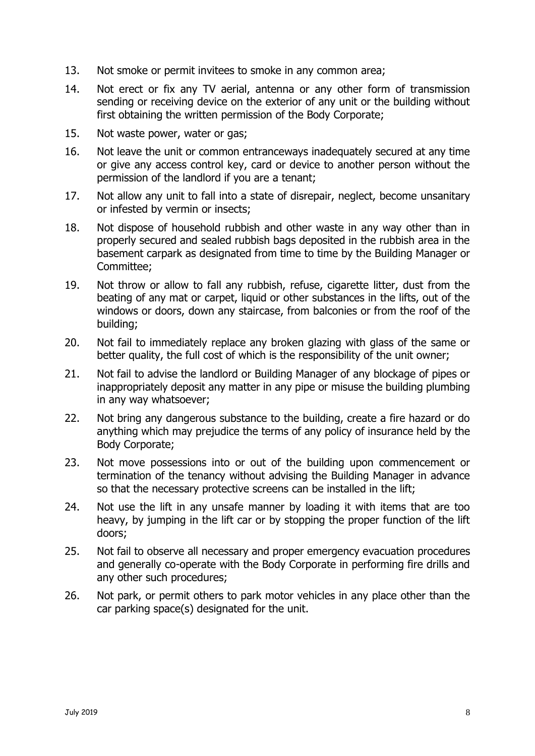- 13. Not smoke or permit invitees to smoke in any common area;
- 14. Not erect or fix any TV aerial, antenna or any other form of transmission sending or receiving device on the exterior of any unit or the building without first obtaining the written permission of the Body Corporate;
- 15. Not waste power, water or gas;
- 16. Not leave the unit or common entranceways inadequately secured at any time or give any access control key, card or device to another person without the permission of the landlord if you are a tenant;
- 17. Not allow any unit to fall into a state of disrepair, neglect, become unsanitary or infested by vermin or insects;
- 18. Not dispose of household rubbish and other waste in any way other than in properly secured and sealed rubbish bags deposited in the rubbish area in the basement carpark as designated from time to time by the Building Manager or Committee;
- 19. Not throw or allow to fall any rubbish, refuse, cigarette litter, dust from the beating of any mat or carpet, liquid or other substances in the lifts, out of the windows or doors, down any staircase, from balconies or from the roof of the building;
- 20. Not fail to immediately replace any broken glazing with glass of the same or better quality, the full cost of which is the responsibility of the unit owner;
- 21. Not fail to advise the landlord or Building Manager of any blockage of pipes or inappropriately deposit any matter in any pipe or misuse the building plumbing in any way whatsoever;
- 22. Not bring any dangerous substance to the building, create a fire hazard or do anything which may prejudice the terms of any policy of insurance held by the Body Corporate;
- 23. Not move possessions into or out of the building upon commencement or termination of the tenancy without advising the Building Manager in advance so that the necessary protective screens can be installed in the lift;
- 24. Not use the lift in any unsafe manner by loading it with items that are too heavy, by jumping in the lift car or by stopping the proper function of the lift doors;
- 25. Not fail to observe all necessary and proper emergency evacuation procedures and generally co-operate with the Body Corporate in performing fire drills and any other such procedures;
- 26. Not park, or permit others to park motor vehicles in any place other than the car parking space(s) designated for the unit.